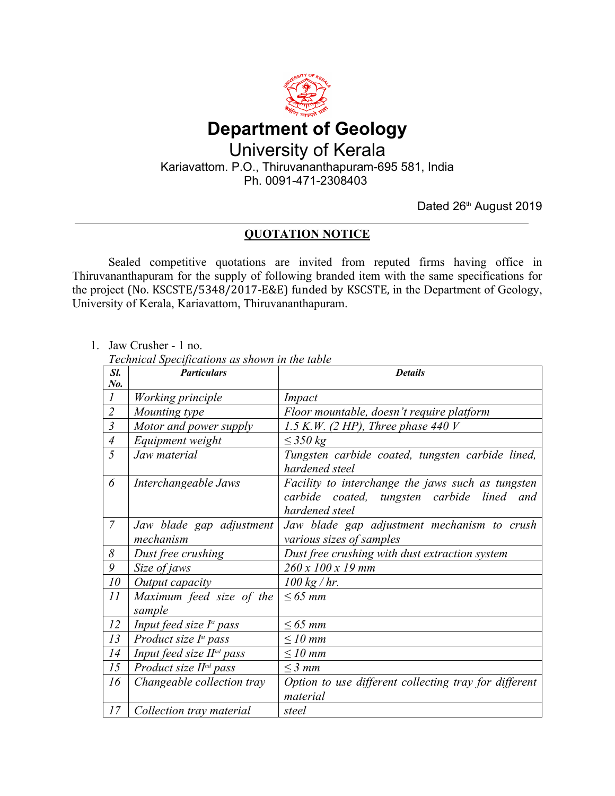

## **Department of Geology** University of Kerala Kariavattom. P.O., Thiruvananthapuram-695 581, India Ph. 0091-471-2308403

Dated 26<sup>th</sup> August 2019

## **QUOTATION NOTICE**

Sealed competitive quotations are invited from reputed firms having office in Thiruvananthapuram for the supply of following branded item with the same specifications for the project (No. KSCSTE/5348/2017-E&E) funded by KSCSTE, in the Department of Geology, University of Kerala, Kariavattom, Thiruvananthapuram.

1. Jaw Crusher - 1 no.

*Technical Specifications as shown in the table*

| Sl.                       | <b>Particulars</b>                                     | <b>Details</b>                                                                                                    |
|---------------------------|--------------------------------------------------------|-------------------------------------------------------------------------------------------------------------------|
| $N_{0}$                   |                                                        |                                                                                                                   |
|                           | Working principle                                      | Impact                                                                                                            |
| $\overline{c}$            | Mounting type                                          | Floor mountable, doesn't require platform                                                                         |
| $\overline{\mathfrak{z}}$ | Motor and power supply                                 | 1.5 K.W. (2 HP), Three phase 440 V                                                                                |
| $\overline{A}$            | Equipment weight                                       | $\leq$ 350 kg                                                                                                     |
| 5                         | Jaw material                                           | Tungsten carbide coated, tungsten carbide lined,<br>hardened steel                                                |
| 6                         | Interchangeable Jaws                                   | Facility to interchange the jaws such as tungsten<br>carbide coated, tungsten carbide lined and<br>hardened steel |
| $\overline{7}$            | Jaw blade gap adjustment<br>mechanism                  | Jaw blade gap adjustment mechanism to crush<br>various sizes of samples                                           |
| 8                         | Dust free crushing                                     | Dust free crushing with dust extraction system                                                                    |
| 9                         | Size of jaws                                           | 260 x 100 x 19 mm                                                                                                 |
| 10                        | Output capacity                                        | $100$ kg / hr.                                                                                                    |
| 11                        | Maximum feed size of the<br>sample                     | $\leq 65$ mm                                                                                                      |
| 12                        | <i>Input feed size <math>I^{\text{st}}</math> pass</i> | $\leq 65$ mm                                                                                                      |
| 13                        | Product size $I^st$ pass                               | $\leq$ 10 mm                                                                                                      |
| 14                        | Input feed size $Hnd$ pass                             | $\leq$ 10 mm                                                                                                      |
| 15                        | Product size $Hnd$ pass                                | $\leq$ 3 mm                                                                                                       |
| 16                        | Changeable collection tray                             | Option to use different collecting tray for different<br>material                                                 |
| 17                        | Collection tray material                               | steel                                                                                                             |